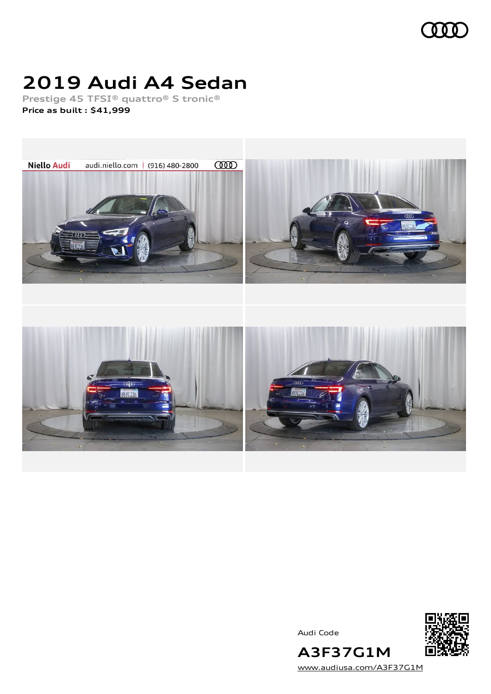

## **2019 Audi A4 Sedan**

**Prestige 45 TFSI® quattro® S tronic® Price as built [:](#page-8-0) \$41,999**



Audi Code



[www.audiusa.com/A3F37G1M](https://www.audiusa.com/A3F37G1M)

**A3F37G1M**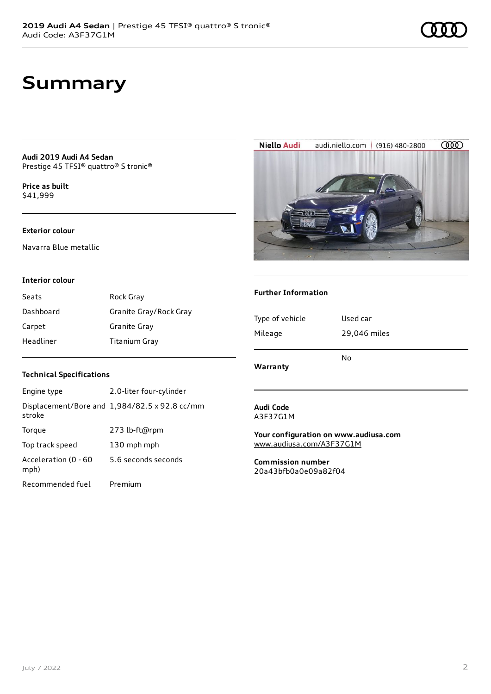## **Summary**

**Audi 2019 Audi A4 Sedan** Prestige 45 TFSI® quattro® S tronic®

**Price as buil[t](#page-8-0)** \$41,999

#### **Exterior colour**

Navarra Blue metallic

#### **Interior colour**

| Seats     | Rock Gray              |
|-----------|------------------------|
| Dashboard | Granite Gray/Rock Gray |
| Carpet    | Granite Gray           |
| Headliner | <b>Titanium Gray</b>   |

#### **Technical Specifications**

| Engine type                  | 2.0-liter four-cylinder                       |
|------------------------------|-----------------------------------------------|
| stroke                       | Displacement/Bore and 1,984/82.5 x 92.8 cc/mm |
| Torque                       | 273 lb-ft@rpm                                 |
| Top track speed              | 130 mph mph                                   |
| Acceleration (0 - 60<br>mph) | 5.6 seconds seconds                           |
| Recommended fuel             | Premium                                       |

**Audi Code** A3F37G1M

**Warranty**

**Further Information**

Type of vehicle Used car

Mileage 29,046 miles

No

**Your configuration on www.audiusa.com** [www.audiusa.com/A3F37G1M](https://www.audiusa.com/A3F37G1M)

**Commission number** 20a43bfb0a0e09a82f04





### July 7 2022 2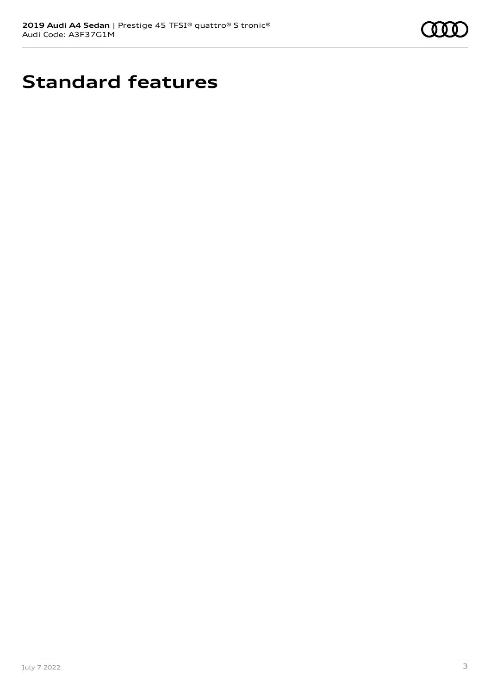

## **Standard features**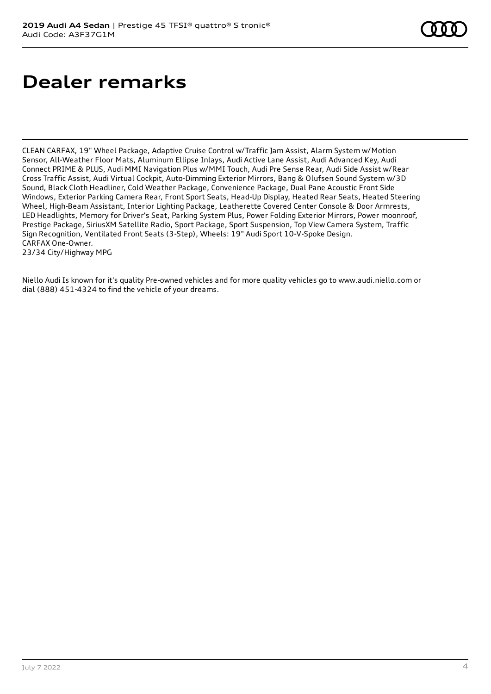## **Dealer remarks**

CLEAN CARFAX, 19" Wheel Package, Adaptive Cruise Control w/Traffic Jam Assist, Alarm System w/Motion Sensor, All-Weather Floor Mats, Aluminum Ellipse Inlays, Audi Active Lane Assist, Audi Advanced Key, Audi Connect PRIME & PLUS, Audi MMI Navigation Plus w/MMI Touch, Audi Pre Sense Rear, Audi Side Assist w/Rear Cross Traffic Assist, Audi Virtual Cockpit, Auto-Dimming Exterior Mirrors, Bang & Olufsen Sound System w/3D Sound, Black Cloth Headliner, Cold Weather Package, Convenience Package, Dual Pane Acoustic Front Side Windows, Exterior Parking Camera Rear, Front Sport Seats, Head-Up Display, Heated Rear Seats, Heated Steering Wheel, High-Beam Assistant, Interior Lighting Package, Leatherette Covered Center Console & Door Armrests, LED Headlights, Memory for Driver's Seat, Parking System Plus, Power Folding Exterior Mirrors, Power moonroof, Prestige Package, SiriusXM Satellite Radio, Sport Package, Sport Suspension, Top View Camera System, Traffic Sign Recognition, Ventilated Front Seats (3-Step), Wheels: 19" Audi Sport 10-V-Spoke Design. CARFAX One-Owner. 23/34 City/Highway MPG

Niello Audi Is known for it's quality Pre-owned vehicles and for more quality vehicles go to www.audi.niello.com or dial (888) 451-4324 to find the vehicle of your dreams.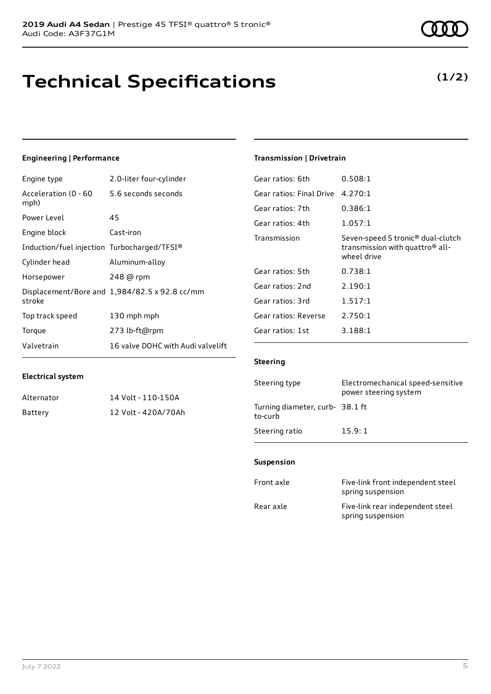## **Technical Specifications**

**Electrical system**

## **Engineering | Performance**

Engine type 2.0-liter four-cylinder

Alternator 14 Volt - 110-150A Battery 12 Volt - 420A/70Ah

| Acceleration (0 - 60<br>mph)                | 5.6 seconds seconds                           |
|---------------------------------------------|-----------------------------------------------|
| Power Level                                 | 45                                            |
| Engine block                                | Cast-iron                                     |
| Induction/fuel injection Turbocharged/TFSI® |                                               |
| Cylinder head                               | Aluminum-alloy                                |
| Horsepower                                  | 248 @ rpm                                     |
| stroke                                      | Displacement/Bore and 1,984/82.5 x 92.8 cc/mm |
| Top track speed                             | 130 mph mph                                   |
| Torque                                      | 273 lb-ft@rpm                                 |
| Valvetrain                                  | 16 valve DOHC with Audi valvelift             |

#### **Transmission | Drivetrain**

| 0.508:1                                                                                                     |
|-------------------------------------------------------------------------------------------------------------|
| 4.270:1                                                                                                     |
| 0.386:1                                                                                                     |
| 1.057:1                                                                                                     |
| Seven-speed S tronic <sup>®</sup> dual-clutch<br>transmission with quattro <sup>®</sup> all-<br>wheel drive |
| 0.738:1                                                                                                     |
| 2.190:1                                                                                                     |
| 1.517:1                                                                                                     |
| 2.750:1                                                                                                     |
| 3.188:1                                                                                                     |
|                                                                                                             |

### **Steering**

| Steering type                             | Electromechanical speed-sensitive<br>power steering system |
|-------------------------------------------|------------------------------------------------------------|
| Turning diameter, curb-38.1 ft<br>to-curb |                                                            |
| Steering ratio                            | 15.9:1                                                     |

#### **Suspension**

| Front axle | Five-link front independent steel<br>spring suspension |
|------------|--------------------------------------------------------|
| Rear axle  | Five-link rear independent steel<br>spring suspension  |

**(1/2)**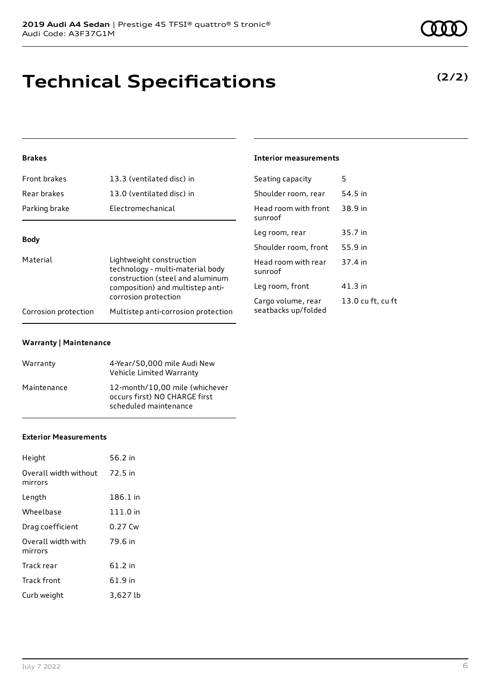**Brakes**

| Front brakes                     | 13.3 (ventilated disc) in                                                                        | Seating capacity                |
|----------------------------------|--------------------------------------------------------------------------------------------------|---------------------------------|
| Rear brakes                      | 13.0 (ventilated disc) in                                                                        | Shoulder room, rear             |
| Parking brake                    | Electromechanical                                                                                | Head room with front<br>sunroof |
| <b>Body</b>                      |                                                                                                  | Leg room, rear                  |
|                                  |                                                                                                  | Shoulder room, front            |
| Material                         | Lightweight construction<br>technology - multi-material body<br>construction (steel and aluminum | Head room with rear<br>sunroof  |
| composition) and multistep anti- | Leg room, front                                                                                  |                                 |
| corrosion protection             |                                                                                                  | Cargo volume, rear              |
| Corrosion protection             | Multistep anti-corrosion protection                                                              | seatbacks up/folded             |

#### **Warranty | Maintenance**

| Warranty    | 4-Year/50,000 mile Audi New<br>Vehicle Limited Warranty                                  |
|-------------|------------------------------------------------------------------------------------------|
| Maintenance | 12-month/10,00 mile (whichever<br>occurs first) NO CHARGE first<br>scheduled maintenance |

#### **Exterior Measurements**

| Height                           | 56.2 in  |
|----------------------------------|----------|
| Overall width without<br>mirrors | 72.5 in  |
| Length                           | 186.1 in |
| Wheelbase                        | 111.0 in |
| Drag coefficient                 | 0.27 Cw  |
| Overall width with<br>mirrors    | 79.6 in  |
| Track rear                       | 61.2 in  |
| <b>Track front</b>               | 61.9 in  |
| Curb weight                      | 3,627 lb |

**Technical Specifications**

# 38.9 in 37.4 in  $u$  ft

#### **Interior measurements**

| Seating capacity                | 5              |
|---------------------------------|----------------|
| Shoulder room, rear             | 54.5 in        |
| Head room with front<br>sunroof | 38.9 in        |
| Leg room, rear                  | 35.7 in        |
| Shoulder room. front            | 55.9 in        |
| Head room with rear<br>sunroof  | 37.4 in        |
| Leg room, front                 | 41.3 in        |
| Cargo volume, rear              | 13.0 cu ft, cı |

**(2/2)**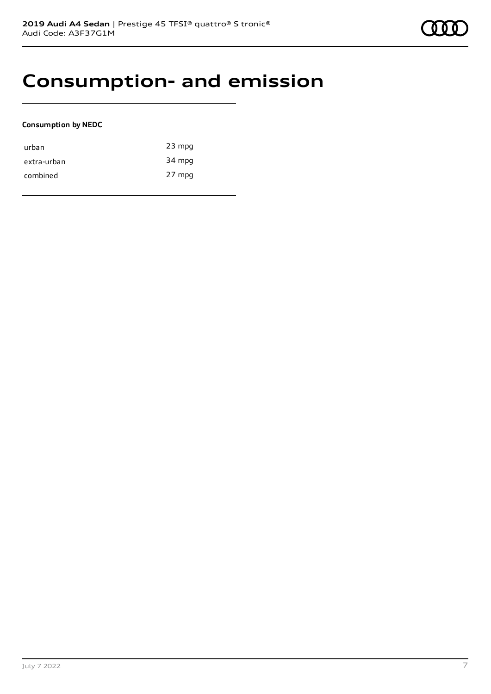## **Consumption- and emission**

#### **Consumption by NEDC**

| urban       | $23$ mpg |
|-------------|----------|
| extra-urban | 34 mpg   |
| combined    | 27 mpg   |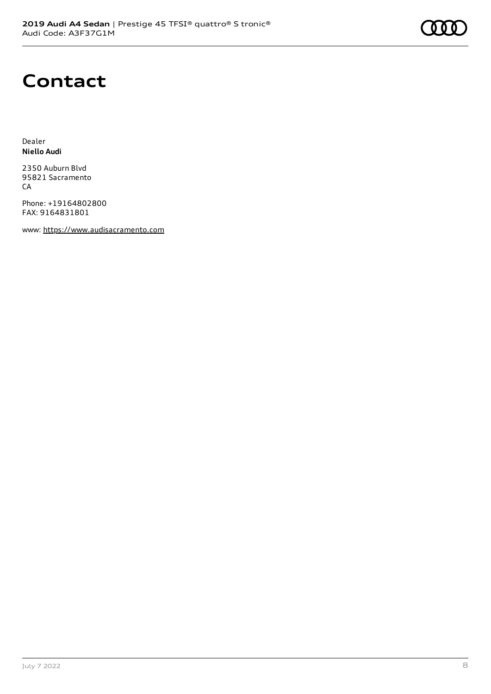# **Contact**

Dealer **Niello Audi**

2350 Auburn Blvd 95821 Sacramento CA

Phone: +19164802800 FAX: 9164831801

www: [https://www.audisacramento.com](https://www.audisacramento.com/)